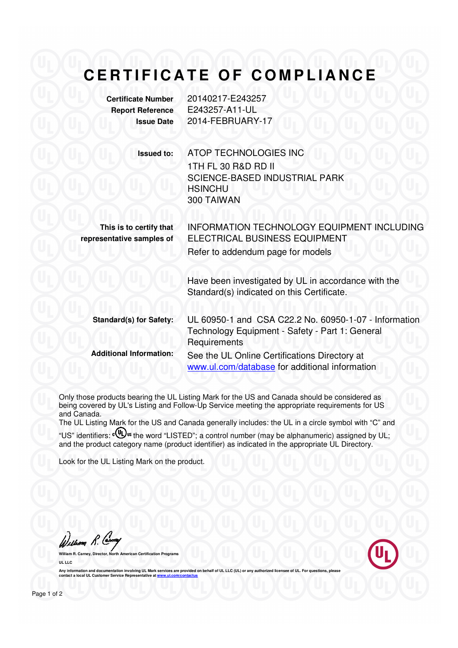## **CERTIFICATE OF COMPLIANCE**

| <b>Certificate Number</b> | 20140  |
|---------------------------|--------|
| <b>Report Reference</b>   | E2432  |
| <b>Issue Date</b>         | 2014-F |

**Certificate Number** 20140217-E243257 **B7-A11-UL FEBRUARY-17** 

**Issued to:** ATOP TECHNOLOGIES INC 1TH FL 30 R&D RD II SCIENCE-BASED INDUSTRIAL PARK **HSINCHU** 300 TAIWAN

**This is to certify that representative samples of**

INFORMATION TECHNOLOGY EQUIPMENT INCLUDING ELECTRICAL BUSINESS EQUIPMENT Refer to addendum page for models

Have been investigated by UL in accordance with the Standard(s) indicated on this Certificate.

**Standard(s) for Safety:** UL 60950-1 and CSA C22.2 No. 60950-1-07 - Information Technology Equipment - Safety - Part 1: General **Requirements Additional Information:** See the UL Online Certifications Directory at

www.ul.com/database for additional information

Only those products bearing the UL Listing Mark for the US and Canada should be considered as being covered by UL's Listing and Follow-Up Service meeting the appropriate requirements for US and Canada.

The UL Listing Mark for the US and Canada generally includes: the UL in a circle symbol with "C" and "US" identifiers:  $\mathbb{Q}$ <sup>s</sup> the word "LISTED"; a control number (may be alphanumeric) assigned by UL; and the product category name (product identifier) as indicated in the appropriate UL Directory.

Look for the UL Listing Mark on the product.

William R. Carnery

**William R. Carney, Director, North American Certification Programs UL LLC** 

Any information and documentation involving UL Mark services are provided on behalf of UL LLC (UL) or any authorized licensee of UL. For questions, please<br>contact a local UL Customer Service Representative at www.ul.com/co